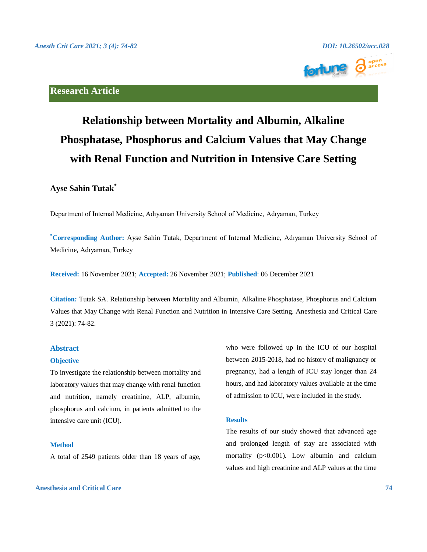

# **Research Article**

# **Relationship between Mortality and Albumin, Alkaline Phosphatase, Phosphorus and Calcium Values that May Change with Renal Function and Nutrition in Intensive Care Setting**

# **Ayse Sahin Tutak\***

Department of Internal Medicine, Adıyaman University School of Medicine, Adıyaman, Turkey

**\*Corresponding Author:** Ayse Sahin Tutak, Department of Internal Medicine, Adıyaman University School of Medicine, Adıyaman, Turkey

**Received:** 16 November 2021; **Accepted:** 26 November 2021; **Published**: 06 December 2021

**Citation:** Tutak SA. Relationship between Mortality and Albumin, Alkaline Phosphatase, Phosphorus and Calcium Values that May Change with Renal Function and Nutrition in Intensive Care Setting. Anesthesia and Critical Care 3 (2021): 74-82.

# **Abstract**

### **Objective**

To investigate the relationship between mortality and laboratory values that may change with renal function and nutrition, namely creatinine, ALP, albumin, phosphorus and calcium, in patients admitted to the intensive care unit (ICU).

# **Method**

A total of 2549 patients older than 18 years of age,

who were followed up in the ICU of our hospital between 2015-2018, had no history of malignancy or pregnancy, had a length of ICU stay longer than 24 hours, and had laboratory values available at the time of admission to ICU, were included in the study.

### **Results**

The results of our study showed that advanced age and prolonged length of stay are associated with mortality (p<0.001). Low albumin and calcium values and high creatinine and ALP values at the time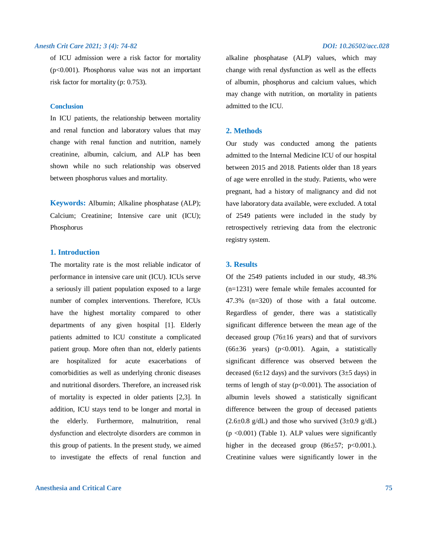of ICU admission were a risk factor for mortality  $(p<0.001)$ . Phosphorus value was not an important risk factor for mortality (p: 0.753).

### **Conclusion**

In ICU patients, the relationship between mortality and renal function and laboratory values that may change with renal function and nutrition, namely creatinine, albumin, calcium, and ALP has been shown while no such relationship was observed between phosphorus values and mortality.

**Keywords:** Albumin; Alkaline phosphatase (ALP); Calcium; Creatinine; Intensive care unit (ICU); Phosphorus

# **1. Introduction**

The mortality rate is the most reliable indicator of performance in intensive care unit (ICU). ICUs serve a seriously ill patient population exposed to a large number of complex interventions. Therefore, ICUs have the highest mortality compared to other departments of any given hospital [1]. Elderly patients admitted to ICU constitute a complicated patient group. More often than not, elderly patients are hospitalized for acute exacerbations of comorbidities as well as underlying chronic diseases and nutritional disorders. Therefore, an increased risk of mortality is expected in older patients [2,3]. In addition, ICU stays tend to be longer and mortal in the elderly. Furthermore, malnutrition, renal dysfunction and electrolyte disorders are common in this group of patients. In the present study, we aimed to investigate the effects of renal function and

# **Anesthesia and Critical Care 75**

alkaline phosphatase (ALP) values, which may change with renal dysfunction as well as the effects of albumin, phosphorus and calcium values, which may change with nutrition, on mortality in patients admitted to the ICU.

# **2. Methods**

Our study was conducted among the patients admitted to the Internal Medicine ICU of our hospital between 2015 and 2018. Patients older than 18 years of age were enrolled in the study. Patients, who were pregnant, had a history of malignancy and did not have laboratory data available, were excluded. A total of 2549 patients were included in the study by retrospectively retrieving data from the electronic registry system.

# **3. Results**

Of the 2549 patients included in our study, 48.3% (n=1231) were female while females accounted for 47.3% (n=320) of those with a fatal outcome. Regardless of gender, there was a statistically significant difference between the mean age of the deceased group  $(76±16 \text{ years})$  and that of survivors  $(66±36 \text{ years})$   $(p<0.001)$ . Again, a statistically significant difference was observed between the deceased (6 $\pm$ 12 days) and the survivors (3 $\pm$ 5 days) in terms of length of stay  $(p<0.001)$ . The association of albumin levels showed a statistically significant difference between the group of deceased patients  $(2.6\pm0.8 \text{ g/dL})$  and those who survived  $(3\pm0.9 \text{ g/dL})$ (p <0.001) (Table 1). ALP values were significantly higher in the deceased group  $(86±57; p<0.001)$ . Creatinine values were significantly lower in the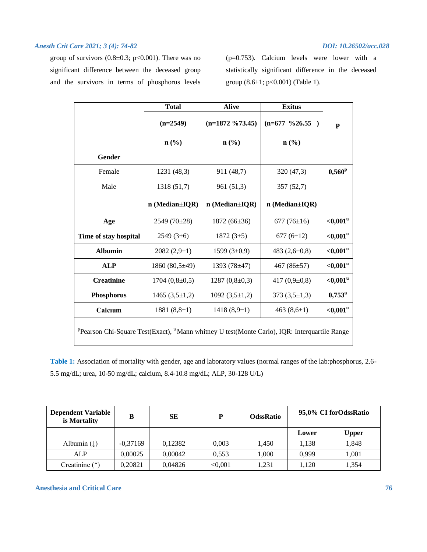group of survivors  $(0.8\pm0.3; \text{ p}<0.001)$ . There was no significant difference between the deceased group and the survivors in terms of phosphorus levels (p=0.753). Calcium levels were lower with a statistically significant difference in the deceased group  $(8.6 \pm 1; p < 0.001)$  (Table 1).

|                                                                                                                      | <b>Total</b>                | <b>Alive</b>                | <b>Exitus</b>               | P               |  |  |  |
|----------------------------------------------------------------------------------------------------------------------|-----------------------------|-----------------------------|-----------------------------|-----------------|--|--|--|
|                                                                                                                      | $(n=2549)$                  | $(n=1872 \frac{673.45})$    | $(n=677 \ \frac{9}{26.55})$ |                 |  |  |  |
|                                                                                                                      | $n\left(\frac{0}{0}\right)$ | $n\left(\frac{0}{0}\right)$ | $n$ (%)                     |                 |  |  |  |
| <b>Gender</b>                                                                                                        |                             |                             |                             |                 |  |  |  |
| Female                                                                                                               | 1231 (48,3)                 | 911 (48,7)                  | 320 (47,3)                  | $0,560^p$       |  |  |  |
| Male                                                                                                                 | 1318 (51,7)                 | 961 (51,3)                  | 357 (52,7)                  |                 |  |  |  |
|                                                                                                                      | $n$ (Median $\pm$ IQR)      | $n$ (Median $\pm$ IQR)      | $n$ (Median $\pm$ IQR)      |                 |  |  |  |
| Age                                                                                                                  | $2549(70\pm28)$             | $1872(66\pm36)$             | 677 $(76\pm16)$             | $<,0.001$ u     |  |  |  |
| Time of stay hospital                                                                                                | $2549(3\pm6)$               | 1872 $(3\pm5)$              | 677 $(6\pm12)$              | $<,0.001$ u     |  |  |  |
| <b>Albumin</b>                                                                                                       | $2082(2,9\pm1)$             | 1599 $(3\pm0.9)$            | 483 $(2,6\pm0,8)$           | $<,0.001$ u     |  |  |  |
| <b>ALP</b>                                                                                                           | 1860 $(80,5\pm49)$          | 1393 (78±47)                | 467 $(86±57)$               | $<,0.001$ u     |  |  |  |
| <b>Creatinine</b>                                                                                                    | $1704(0,8\pm0,5)$           | $1287(0,8\pm0,3)$           | 417 $(0.9\pm0.8)$           | ${<}0,001$ u    |  |  |  |
| <b>Phosphorus</b>                                                                                                    | 1465 $(3,5\pm1,2)$          | 1092 $(3,5\pm1,2)$          | $373(3,5\pm1,3)$            | $0,753^{\rm u}$ |  |  |  |
| Calcium                                                                                                              | 1881 $(8,8\pm1)$            | 1418 $(8,9+1)$              | 463 $(8,6\pm1)$             | ${<}0,001$ u    |  |  |  |
| <sup>P</sup> Pearson Chi-Square Test(Exact), <sup>u</sup> Mann whitney U test(Monte Carlo), IQR: Interquartile Range |                             |                             |                             |                 |  |  |  |

**Table 1:** Association of mortality with gender, age and laboratory values (normal ranges of the lab:phosphorus, 2.6- 5.5 mg/dL; urea, 10-50 mg/dL; calcium, 8.4-10.8 mg/dL; ALP, 30-128 U/L)

| <b>Dependent Variable</b><br>is Mortality | в          | <b>SE</b> | D       | <b>OdssRatio</b> | 95,0% CI forOdssRatio |              |
|-------------------------------------------|------------|-----------|---------|------------------|-----------------------|--------------|
|                                           |            |           |         |                  | Lower                 | <b>Upper</b> |
| Albumin $( \downarrow )$                  | $-0.37169$ | 0.12382   | 0.003   | 1.450            | 1.138                 | 1,848        |
| <b>ALP</b>                                | 0,00025    | 0.00042   | 0.553   | 1,000            | 0.999                 | 1,001        |
| Creatinine $($ $\uparrow$ $)$             | 0.20821    | 0,04826   | < 0.001 | 1.231            | 1.120                 | 1,354        |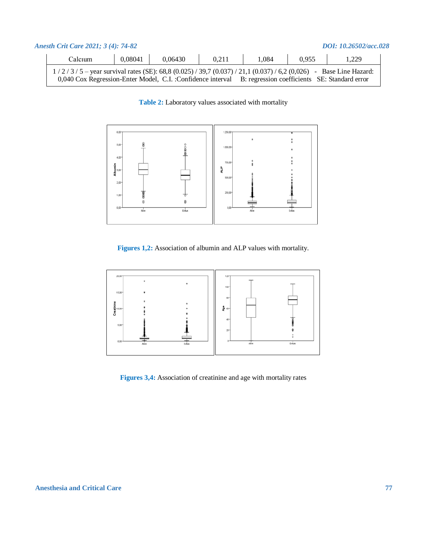| DOI: 10.26502/acc.028<br>Anesth Crit Care 2021; 3 (4): 74-82 |                                                                                                                    |         |         |       |       |       |       |  |
|--------------------------------------------------------------|--------------------------------------------------------------------------------------------------------------------|---------|---------|-------|-------|-------|-------|--|
|                                                              | Calcium                                                                                                            | 0,08041 | 0.06430 | 0.211 | 1.084 | 0.955 | 1.229 |  |
|                                                              | $1/2/3/5$ – year survival rates (SE): 68,8 (0.025) / 39,7 (0.037) / 21,1 (0.037) / 6,2 (0,026) – Base Line Hazard: |         |         |       |       |       |       |  |
|                                                              | 0,040 Cox Regression-Enter Model, C.I. :Confidence interval B: regression coefficients SE: Standard error          |         |         |       |       |       |       |  |

**Table 2:** Laboratory values associated with mortality



**Figures 1,2:** Association of albumin and ALP values with mortality.



**Figures 3,4:** Association of creatinine and age with mortality rates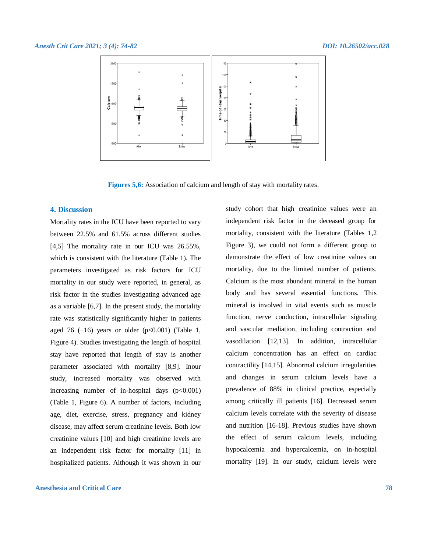

**Figures 5,6:** Association of calcium and length of stay with mortality rates.

### **4. Discussion**

Mortality rates in the ICU have been reported to vary between 22.5% and 61.5% across different studies [4,5] The mortality rate in our ICU was 26.55%, which is consistent with the literature (Table 1). The parameters investigated as risk factors for ICU mortality in our study were reported, in general, as risk factor in the studies investigating advanced age as a variable [6,7]. In the present study, the mortality rate was statistically significantly higher in patients aged 76  $(\pm 16)$  years or older  $(p<0.001)$  (Table 1, Figure 4). Studies investigating the length of hospital stay have reported that length of stay is another parameter associated with mortality [8,9]. Inour study, increased mortality was observed with increasing number of in-hospital days  $(p<0.001)$ (Table 1, Figure 6). A number of factors, including age, diet, exercise, stress, pregnancy and kidney disease, may affect serum creatinine levels. Both low creatinine values [10] and high creatinine levels are an independent risk factor for mortality [11] in hospitalized patients. Although it was shown in our

# **Anesthesia and Critical Care 78**

study cohort that high creatinine values were an independent risk factor in the deceased group for mortality, consistent with the literature (Tables 1,2 Figure 3), we could not form a different group to demonstrate the effect of low creatinine values on mortality, due to the limited number of patients. Calcium is the most abundant mineral in the human body and has several essential functions. This mineral is involved in vital events such as muscle function, nerve conduction, intracellular signaling and vascular mediation, including contraction and vasodilation [12,13]. In addition, intracellular calcium concentration has an effect on cardiac contractility [14,15]. Abnormal calcium irregularities and changes in serum calcium levels have a prevalence of 88% in clinical practice, especially among critically ill patients [16]. Decreased serum calcium levels correlate with the severity of disease and nutrition [16-18]. Previous studies have shown the effect of serum calcium levels, including hypocalcemia and hypercalcemia, on in-hospital mortality [19]. In our study, calcium levels were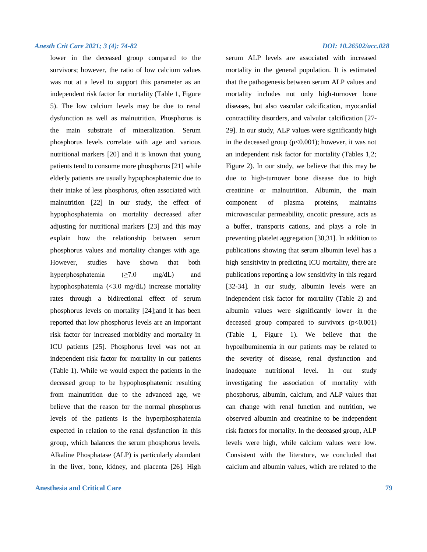lower in the deceased group compared to the survivors; however, the ratio of low calcium values was not at a level to support this parameter as an independent risk factor for mortality (Table 1, Figure 5). The low calcium levels may be due to renal dysfunction as well as malnutrition. Phosphorus is the main substrate of mineralization. Serum phosphorus levels correlate with age and various nutritional markers [20] and it is known that young patients tend to consume more phosphorus [21] while elderly patients are usually hypophosphatemic due to their intake of less phosphorus, often associated with malnutrition [22] In our study, the effect of hypophosphatemia on mortality decreased after adjusting for nutritional markers [23] and this may explain how the relationship between serum phosphorus values and mortality changes with age. However, studies have shown that both hyperphosphatemia (≥7.0 mg/dL) and hypophosphatemia (<3.0 mg/dL) increase mortality rates through a bidirectional effect of serum phosphorus levels on mortality [24];and it has been reported that low phosphorus levels are an important risk factor for increased morbidity and mortality in ICU patients [25]. Phosphorus level was not an independent risk factor for mortality in our patients (Table 1). While we would expect the patients in the deceased group to be hypophosphatemic resulting from malnutrition due to the advanced age, we believe that the reason for the normal phosphorus levels of the patients is the hyperphosphatemia expected in relation to the renal dysfunction in this group, which balances the serum phosphorus levels. Alkaline Phosphatase (ALP) is particularly abundant in the liver, bone, kidney, and placenta [26]. High

# **Anesthesia and Critical Care 79**

serum ALP levels are associated with increased mortality in the general population. It is estimated that the pathogenesis between serum ALP values and mortality includes not only high-turnover bone diseases, but also vascular calcification, myocardial contractility disorders, and valvular calcification [27- 29]. In our study, ALP values were significantly high in the deceased group  $(p<0.001)$ ; however, it was not an independent risk factor for mortality (Tables 1,2; Figure 2). In our study, we believe that this may be due to high-turnover bone disease due to high creatinine or malnutrition. Albumin, the main component of plasma proteins, maintains microvascular permeability, oncotic pressure, acts as a buffer, transports cations, and plays a role in preventing platelet aggregation [30,31]. In addition to publications showing that serum albumin level has a high sensitivity in predicting ICU mortality, there are publications reporting a low sensitivity in this regard [32-34]. In our study, albumin levels were an independent risk factor for mortality (Table 2) and albumin values were significantly lower in the deceased group compared to survivors  $(p<0.001)$ (Table 1, Figure 1). We believe that the hypoalbuminemia in our patients may be related to the severity of disease, renal dysfunction and inadequate nutritional level. In our study investigating the association of mortality with phosphorus, albumin, calcium, and ALP values that can change with renal function and nutrition, we observed albumin and creatinine to be independent risk factors for mortality. In the deceased group, ALP levels were high, while calcium values were low. Consistent with the literature, we concluded that calcium and albumin values, which are related to the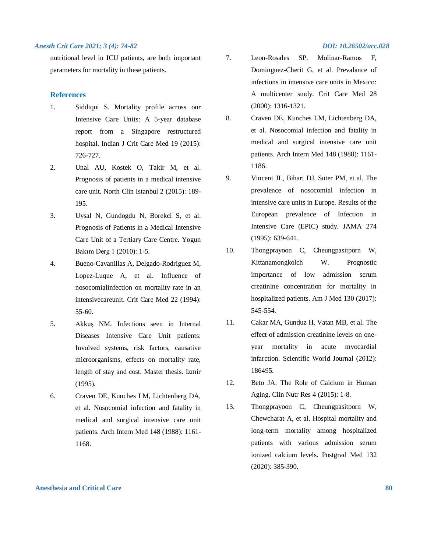nutritional level in ICU patients, are both important parameters for mortality in these patients.

# **References**

- 1. Siddiqui S. Mortality profile across our Intensive Care Units: A 5-year database report from a Singapore restructured hospital. Indian J Crit Care Med 19 (2015): 726-727.
- 2. Unal AU, Kostek O, Takir M, et al. Prognosis of patients in a medical intensive care unit. North Clin Istanbul 2 (2015): 189- 195.
- 3. Uysal N, Gundogdu N, Borekci S, et al. Prognosis of Patients in a Medical Intensive Care Unit of a Tertiary Care Centre. Yogun Bakım Derg 1 (2010): 1-5.
- 4. Bueno-Cavanillas A, Delgado-Rodriguez M, Lopez-Luque A, et al. Influence of nosocomialinfection on mortality rate in an intensivecareunit. Crit Care Med 22 (1994): 55-60.
- 5. Akkuş NM. Infections seen in Internal Diseases Intensive Care Unit patients: Involved systems, risk factors, causative microorganisms, effects on mortality rate, length of stay and cost. Master thesis. Izmir (1995).
- 6. Craven DE, Kunches LM, Lichtenberg DA, et al. Nosocomial infection and fatality in medical and surgical intensive care unit patients. Arch Intern Med 148 (1988): 1161- 1168.
- 
- 7. Leon-Rosales SP, Molinar-Ramos F, Dominguez-Cherit G, et al. Prevalance of infections in intensive care units in Mexico: A multicenter study. Crit Care Med 28 (2000): 1316-1321.
- 8. Craven DE, Kunches LM, Lichtenberg DA, et al. Nosocomial infection and fatality in medical and surgical intensive care unit patients. Arch Intern Med 148 (1988): 1161- 1186.
- 9. Vincent JL, Bihari DJ, Suter PM, et al. The prevalence of nosocomial infection in intensive care units in Europe. Results of the European prevalence of Infection in Intensive Care (EPIC) study. JAMA 274 (1995): 639-641.
- 10. Thongprayoon C, Cheungpasitporn W, Kittanamongkolch W. Prognostic importance of low admission serum creatinine concentration for mortality in hospitalized patients. Am J Med 130 (2017): 545-554.
- 11. Cakar MA, Gunduz H, Vatan MB, et al. The effect of admission creatinine levels on oneyear mortality in acute myocardial infarction. Scientific World Journal (2012): 186495.
- 12. Beto JA. The Role of Calcium in Human Aging. Clin Nutr Res 4 (2015): 1-8.
- 13. Thongprayoon C, Cheungpasitporn W, Chewcharat A, et al. Hospital mortality and long-term mortality among hospitalized patients with various admission serum ionized calcium levels. Postgrad Med 132 (2020): 385-390.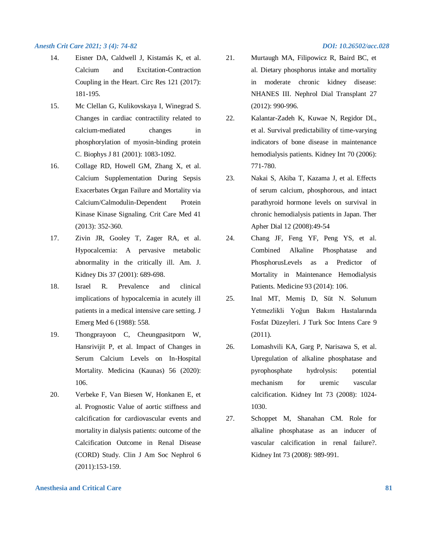- 14. Eisner DA, Caldwell J, Kistamás K, et al. Calcium and Excitation-Contraction Coupling in the Heart. Circ Res 121 (2017): 181-195.
- 15. Mc Clellan G, Kulikovskaya I, Winegrad S. Changes in cardiac contractility related to calcium-mediated changes in phosphorylation of myosin-binding protein C. Biophys J 81 (2001): 1083-1092.
- 16. Collage RD, Howell GM, Zhang X, et al. Calcium Supplementation During Sepsis Exacerbates Organ Failure and Mortality via Calcium/Calmodulin-Dependent Protein Kinase Kinase Signaling. Crit Care Med 41 (2013): 352-360.
- 17. Zivin JR, Gooley T, Zager RA, et al. Hypocalcemia: A pervasive metabolic abnormality in the critically ill. Am. J. Kidney Dis 37 (2001): 689-698.
- 18. Israel R. Prevalence and clinical implications of hypocalcemia in acutely ill patients in a medical intensive care setting. J Emerg Med 6 (1988): 558.
- 19. Thongprayoon C, Cheungpasitporn W, Hansrivijit P, et al. Impact of Changes in Serum Calcium Levels on In-Hospital Mortality. Medicina (Kaunas) 56 (2020): 106.
- 20. Verbeke F, Van Biesen W, Honkanen E, et al. Prognostic Value of aortic stiffness and calcification for cardiovascular events and mortality in dialysis patients: outcome of the Calcification Outcome in Renal Disease (CORD) Study. Clin J Am Soc Nephrol 6 (2011):153-159.

- 21. Murtaugh MA, Filipowicz R, Baird BC, et al. Dietary phosphorus intake and mortality in moderate chronic kidney disease: NHANES III. Nephrol Dial Transplant 27 (2012): 990-996.
- 22. Kalantar-Zadeh K, Kuwae N, Regidor DL, et al. Survival predictability of time-varying indicators of bone disease in maintenance hemodialysis patients. Kidney Int 70 (2006): 771-780.
- 23. Nakai S, Akiba T, Kazama J, et al. Effects of serum calcium, phosphorous, and intact parathyroid hormone levels on survival in chronic hemodialysis patients in Japan. Ther Apher Dial 12 (2008):49-54
- 24. Chang JF, Feng YF, Peng YS, et al. Combined Alkaline Phosphatase and PhosphorusLevels as a Predictor of Mortality in Maintenance Hemodialysis Patients. Medicine 93 (2014): 106.
- 25. Inal MT, Memiş D, Süt N. Solunum Yetmezlikli Yoğun Bakım Hastalarında Fosfat Düzeyleri. J Turk Soc Intens Care 9 (2011).
- 26. Lomashvili KA, Garg P, Narisawa S, et al. Upregulation of alkaline phosphatase and pyrophosphate hydrolysis: potential mechanism for uremic vascular calcification. Kidney Int 73 (2008): 1024- 1030.
- 27. Schoppet M, Shanahan CM. Role for alkaline phosphatase as an inducer of vascular calcification in renal failure?. Kidney Int 73 (2008): 989-991.